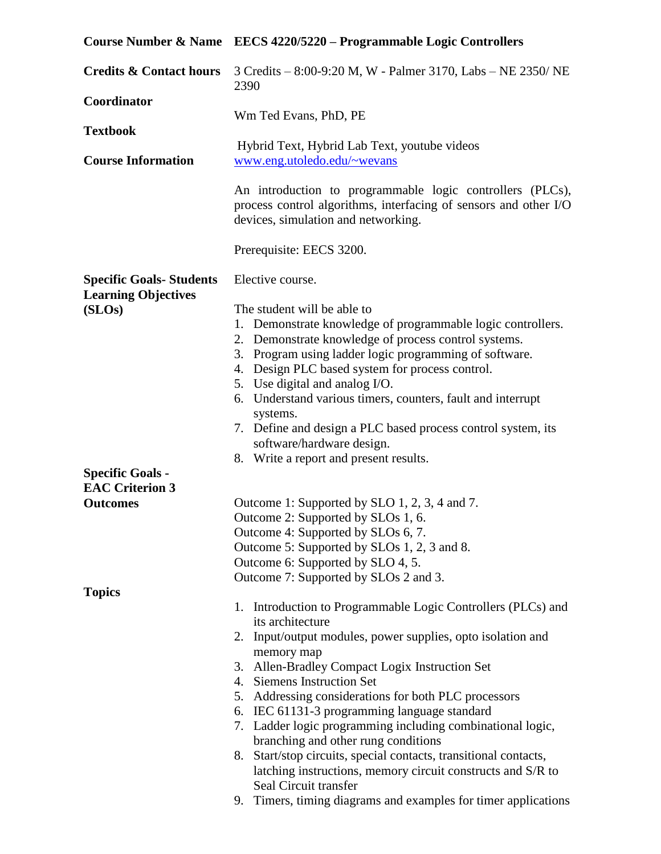|                                                              | Course Number & Name EECS 4220/5220 - Programmable Logic Controllers                                                                                                                                                                                                                                                                                                                                                                                                                                                                                                                                                                                                                           |  |  |  |
|--------------------------------------------------------------|------------------------------------------------------------------------------------------------------------------------------------------------------------------------------------------------------------------------------------------------------------------------------------------------------------------------------------------------------------------------------------------------------------------------------------------------------------------------------------------------------------------------------------------------------------------------------------------------------------------------------------------------------------------------------------------------|--|--|--|
| <b>Credits &amp; Contact hours</b>                           | 3 Credits - 8:00-9:20 M, W - Palmer 3170, Labs - NE 2350/ NE<br>2390                                                                                                                                                                                                                                                                                                                                                                                                                                                                                                                                                                                                                           |  |  |  |
| Coordinator<br><b>Textbook</b>                               | Wm Ted Evans, PhD, PE                                                                                                                                                                                                                                                                                                                                                                                                                                                                                                                                                                                                                                                                          |  |  |  |
| <b>Course Information</b>                                    | Hybrid Text, Hybrid Lab Text, youtube videos<br>www.eng.utoledo.edu/~wevans                                                                                                                                                                                                                                                                                                                                                                                                                                                                                                                                                                                                                    |  |  |  |
|                                                              | An introduction to programmable logic controllers (PLCs),<br>process control algorithms, interfacing of sensors and other I/O<br>devices, simulation and networking.                                                                                                                                                                                                                                                                                                                                                                                                                                                                                                                           |  |  |  |
|                                                              | Prerequisite: EECS 3200.                                                                                                                                                                                                                                                                                                                                                                                                                                                                                                                                                                                                                                                                       |  |  |  |
| <b>Specific Goals-Students</b><br><b>Learning Objectives</b> | Elective course.                                                                                                                                                                                                                                                                                                                                                                                                                                                                                                                                                                                                                                                                               |  |  |  |
| (SLOS)<br><b>Specific Goals -</b><br><b>EAC Criterion 3</b>  | The student will be able to<br>1. Demonstrate knowledge of programmable logic controllers.<br>2. Demonstrate knowledge of process control systems.<br>3. Program using ladder logic programming of software.<br>4. Design PLC based system for process control.<br>5. Use digital and analog I/O.<br>6. Understand various timers, counters, fault and interrupt<br>systems.<br>7. Define and design a PLC based process control system, its<br>software/hardware design.<br>8. Write a report and present results.                                                                                                                                                                            |  |  |  |
| <b>Outcomes</b>                                              | Outcome 1: Supported by SLO 1, 2, 3, 4 and 7.<br>Outcome 2: Supported by SLOs 1, 6.<br>Outcome 4: Supported by SLOs 6, 7.<br>Outcome 5: Supported by SLOs 1, 2, 3 and 8.<br>Outcome 6: Supported by SLO 4, 5.<br>Outcome 7: Supported by SLOs 2 and 3.                                                                                                                                                                                                                                                                                                                                                                                                                                         |  |  |  |
| <b>Topics</b>                                                | 1. Introduction to Programmable Logic Controllers (PLCs) and<br>its architecture<br>2. Input/output modules, power supplies, opto isolation and<br>memory map<br>Allen-Bradley Compact Logix Instruction Set<br>3.<br>4. Siemens Instruction Set<br>5. Addressing considerations for both PLC processors<br>6. IEC 61131-3 programming language standard<br>7. Ladder logic programming including combinational logic,<br>branching and other rung conditions<br>Start/stop circuits, special contacts, transitional contacts,<br>8.<br>latching instructions, memory circuit constructs and S/R to<br>Seal Circuit transfer<br>9. Timers, timing diagrams and examples for timer applications |  |  |  |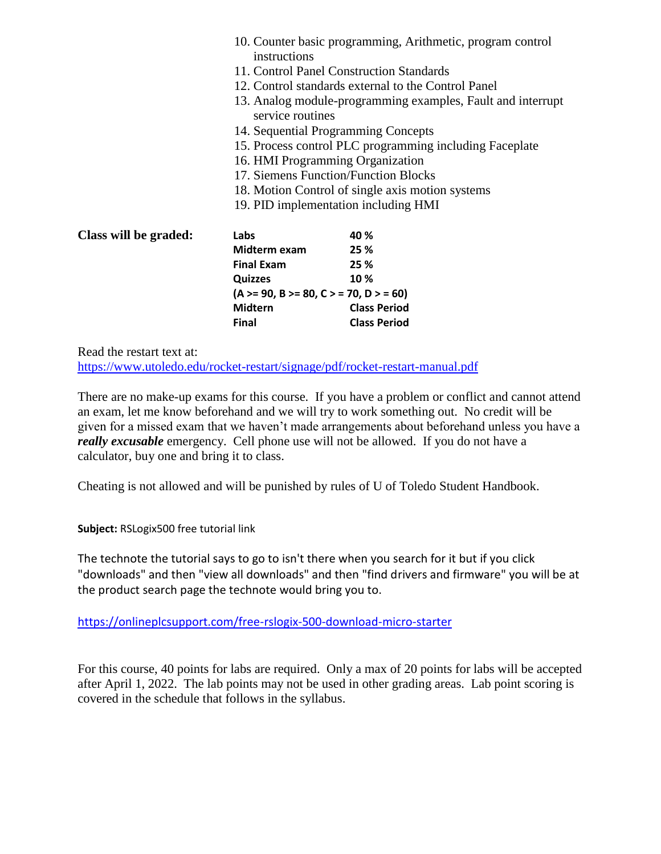|                       | 10. Counter basic programming, Arithmetic, program control<br>instructions      |                                                     |  |  |
|-----------------------|---------------------------------------------------------------------------------|-----------------------------------------------------|--|--|
|                       | 11. Control Panel Construction Standards                                        |                                                     |  |  |
|                       |                                                                                 | 12. Control standards external to the Control Panel |  |  |
|                       | 13. Analog module-programming examples, Fault and interrupt<br>service routines |                                                     |  |  |
|                       | 14. Sequential Programming Concepts                                             |                                                     |  |  |
|                       | 15. Process control PLC programming including Faceplate                         |                                                     |  |  |
|                       | 16. HMI Programming Organization                                                |                                                     |  |  |
|                       | 17. Siemens Function/Function Blocks                                            |                                                     |  |  |
|                       | 18. Motion Control of single axis motion systems                                |                                                     |  |  |
|                       | 19. PID implementation including HMI                                            |                                                     |  |  |
| Class will be graded: | Labs                                                                            | 40 %                                                |  |  |
|                       | Midterm exam                                                                    | 25 %                                                |  |  |
|                       | <b>Final Exam</b>                                                               | 25 %                                                |  |  |
|                       | <b>Quizzes</b>                                                                  | 10%                                                 |  |  |
|                       | $(A > = 90, B > = 80, C > = 70, D > = 60)$                                      |                                                     |  |  |
|                       | <b>Midtern</b>                                                                  | <b>Class Period</b>                                 |  |  |
|                       | <b>Final</b>                                                                    | <b>Class Period</b>                                 |  |  |

Read the restart text at:

<https://www.utoledo.edu/rocket-restart/signage/pdf/rocket-restart-manual.pdf>

There are no make-up exams for this course. If you have a problem or conflict and cannot attend an exam, let me know beforehand and we will try to work something out. No credit will be given for a missed exam that we haven't made arrangements about beforehand unless you have a *really excusable* emergency. Cell phone use will not be allowed. If you do not have a calculator, buy one and bring it to class.

Cheating is not allowed and will be punished by rules of U of Toledo Student Handbook.

**Subject:** RSLogix500 free tutorial link

The technote the tutorial says to go to isn't there when you search for it but if you click "downloads" and then "view all downloads" and then "find drivers and firmware" you will be at the product search page the technote would bring you to.

[https://onlineplcsupport.com/free-rslogix-500-download-micro-starter](https://nam04.safelinks.protection.outlook.com/?url=https%3A%2F%2Fonlineplcsupport.com%2Ffree-rslogix-500-download-micro-starter&data=02%7C01%7CWILLIAM.EVANS%40utoledo.edu%7Cee6cb78c3a28435be4be08d86bd2f50e%7C1d6b1707baa94a3da8f8deabfb3d467b%7C0%7C0%7C637377901087311787&sdata=QB5Z%2BfsvHmQtULvzoGv8Gg%2F2gvsX8P0NfL5qBfqt6AI%3D&reserved=0)

For this course, 40 points for labs are required. Only a max of 20 points for labs will be accepted after April 1, 2022. The lab points may not be used in other grading areas. Lab point scoring is covered in the schedule that follows in the syllabus.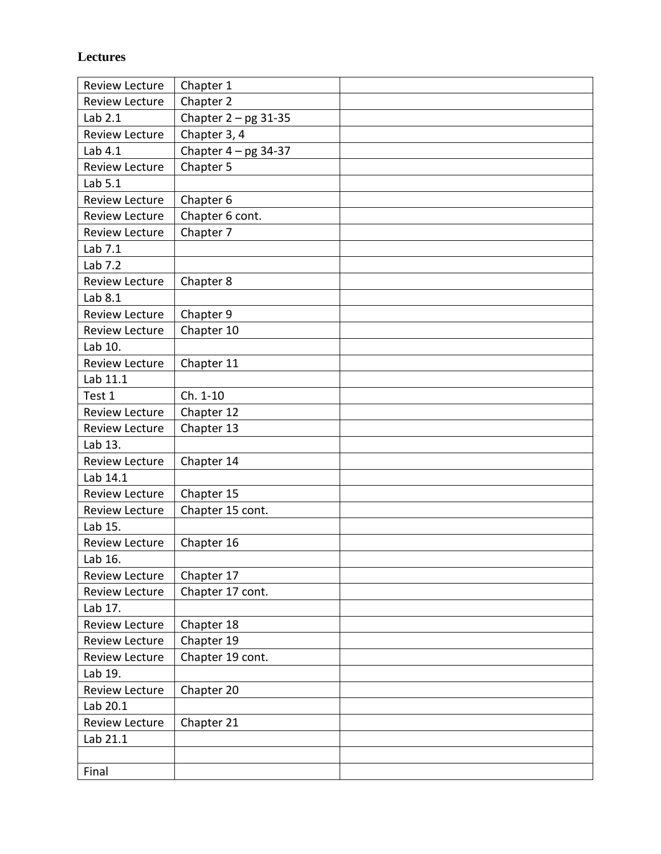## **Lectures**

| <b>Review Lecture</b> | Chapter 1              |  |
|-----------------------|------------------------|--|
| <b>Review Lecture</b> | Chapter 2              |  |
| Lab 2.1               | Chapter $2 - pg$ 31-35 |  |
| <b>Review Lecture</b> | Chapter 3, 4           |  |
| Lab 4.1               | Chapter $4 - pg$ 34-37 |  |
| <b>Review Lecture</b> | Chapter 5              |  |
| Lab 5.1               |                        |  |
| <b>Review Lecture</b> | Chapter 6              |  |
| <b>Review Lecture</b> | Chapter 6 cont.        |  |
| <b>Review Lecture</b> | Chapter 7              |  |
| Lab 7.1               |                        |  |
| Lab 7.2               |                        |  |
| <b>Review Lecture</b> | Chapter 8              |  |
| Lab 8.1               |                        |  |
| Review Lecture        | Chapter 9              |  |
| <b>Review Lecture</b> | Chapter 10             |  |
| Lab 10.               |                        |  |
| <b>Review Lecture</b> | Chapter 11             |  |
| Lab 11.1              |                        |  |
| Test 1                | Ch. 1-10               |  |
| <b>Review Lecture</b> | Chapter 12             |  |
| <b>Review Lecture</b> | Chapter 13             |  |
| Lab 13.               |                        |  |
| <b>Review Lecture</b> | Chapter 14             |  |
| Lab 14.1              |                        |  |
| <b>Review Lecture</b> | Chapter 15             |  |
| <b>Review Lecture</b> | Chapter 15 cont.       |  |
| Lab 15.               |                        |  |
| <b>Review Lecture</b> | Chapter 16             |  |
| Lab 16.               |                        |  |
| <b>Review Lecture</b> | Chapter 17             |  |
| Review Lecture        | Chapter 17 cont.       |  |
| Lab 17.               |                        |  |
| <b>Review Lecture</b> | Chapter 18             |  |
| Review Lecture        | Chapter 19             |  |
| Review Lecture        | Chapter 19 cont.       |  |
| Lab 19.               |                        |  |
| Review Lecture        | Chapter 20             |  |
| Lab 20.1              |                        |  |
| Review Lecture        | Chapter 21             |  |
| Lab 21.1              |                        |  |
|                       |                        |  |
| Final                 |                        |  |